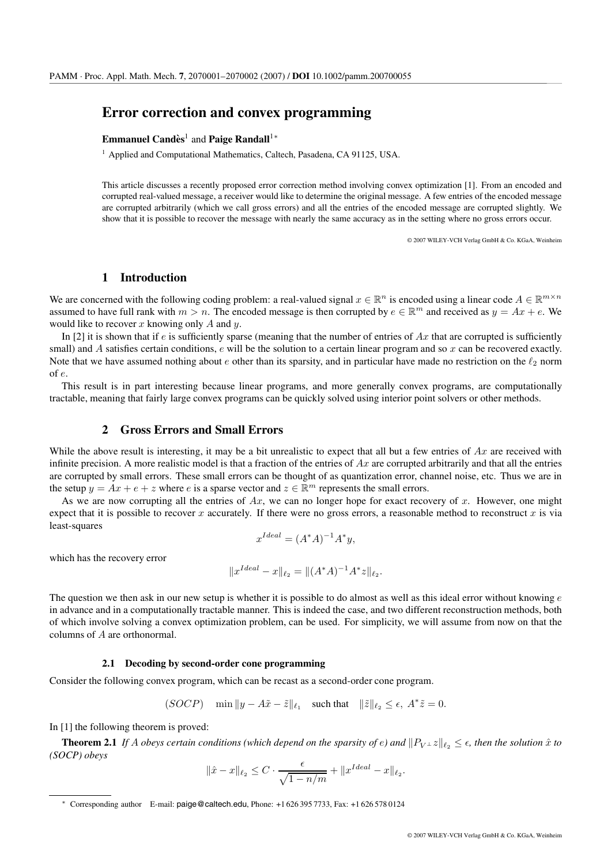# **Error correction and convex programming**

### **Emmanuel Candès<sup>1</sup> and Paige Randall<sup>1</sup><sup>∗</sup>**

<sup>1</sup> Applied and Computational Mathematics, Caltech, Pasadena, CA 91125, USA.

This article discusses a recently proposed error correction method involving convex optimization [1]. From an encoded and corrupted real-valued message, a receiver would like to determine the original message. A few entries of the encoded message are corrupted arbitrarily (which we call gross errors) and all the entries of the encoded message are corrupted slightly. We show that it is possible to recover the message with nearly the same accuracy as in the setting where no gross errors occur.

© 2007 WILEY-VCH Verlag GmbH & Co. KGaA, Weinheim

## **1 Introduction**

We are concerned with the following coding problem: a real-valued signal  $x \in \mathbb{R}^n$  is encoded using a linear code  $A \in \mathbb{R}^{m \times n}$ assumed to have full rank with  $m > n$ . The encoded message is then corrupted by  $e \in \mathbb{R}^m$  and received as  $y = Ax + e$ . We would like to recover  $x$  knowing only  $A$  and  $y$ .

In [2] it is shown that if e is sufficiently sparse (meaning that the number of entries of Ax that are corrupted is sufficiently small) and A satisfies certain conditions, e will be the solution to a certain linear program and so x can be recovered exactly. Note that we have assumed nothing about e other than its sparsity, and in particular have made no restriction on the  $\ell_2$  norm of e.

This result is in part interesting because linear programs, and more generally convex programs, are computationally tractable, meaning that fairly large convex programs can be quickly solved using interior point solvers or other methods.

#### **2 Gross Errors and Small Errors**

While the above result is interesting, it may be a bit unrealistic to expect that all but a few entries of  $Ax$  are received with infinite precision. A more realistic model is that a fraction of the entries of  $Ax$  are corrupted arbitrarily and that all the entries are corrupted by small errors. These small errors can be thought of as quantization error, channel noise, etc. Thus we are in the setup  $y = Ax + e + z$  where e is a sparse vector and  $z \in \mathbb{R}^m$  represents the small errors.

As we are now corrupting all the entries of  $Ax$ , we can no longer hope for exact recovery of x. However, one might expect that it is possible to recover x accurately. If there were no gross errors, a reasonable method to reconstruct x is via least-squares

$$
x^{Ideal} = (A^*A)^{-1}A^*y,
$$

which has the recovery error

$$
||x^{Ideal} - x||_{\ell_2} = ||(A^*A)^{-1}A^*z||_{\ell_2}.
$$

The question we then ask in our new setup is whether it is possible to do almost as well as this ideal error without knowing  $e$ in advance and in a computationally tractable manner. This is indeed the case, and two different reconstruction methods, both of which involve solving a convex optimization problem, can be used. For simplicity, we will assume from now on that the columns of A are orthonormal.

#### **2.1 Decoding by second-order cone programming**

Consider the following convex program, which can be recast as a second-order cone program.

$$
(SOCP) \quad \min \|y - A\tilde{x} - \tilde{z}\|_{\ell_1} \quad \text{such that} \quad \|\tilde{z}\|_{\ell_2} \le \epsilon, \ A^* \tilde{z} = 0.
$$

In [1] the following theorem is proved:

**Theorem 2.1** If A obeys certain conditions (which depend on the sparsity of e) and  $||P_{V^\perp}z||_{\ell_2} \leq \epsilon$ , then the solution  $\hat{x}$  to *(SOCP) obeys*

$$
\|\hat{x} - x\|_{\ell_2} \le C \cdot \frac{\epsilon}{\sqrt{1 - n/m}} + \|x^{Ideal} - x\|_{\ell_2}.
$$

<sup>∗</sup> Corresponding author E-mail: paige@caltech.edu, Phone: +1 626 395 7733, Fax: +1 626 578 0124